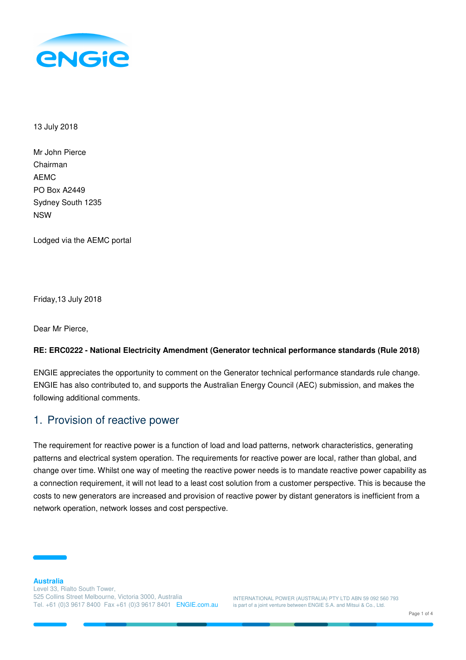

13 July 2018

| Mr John Pierce    |
|-------------------|
| Chairman          |
| AEMC              |
| PO Box A2449      |
| Sydney South 1235 |
| NSW               |

Lodged via the AEMC portal

Friday,13 July 2018

Dear Mr Pierce,

#### **RE: ERC0222 - National Electricity Amendment (Generator technical performance standards (Rule 2018)**

ENGIE appreciates the opportunity to comment on the Generator technical performance standards rule change. ENGIE has also contributed to, and supports the Australian Energy Council (AEC) submission, and makes the following additional comments.

## 1. Provision of reactive power

The requirement for reactive power is a function of load and load patterns, network characteristics, generating patterns and electrical system operation. The requirements for reactive power are local, rather than global, and change over time. Whilst one way of meeting the reactive power needs is to mandate reactive power capability as a connection requirement, it will not lead to a least cost solution from a customer perspective. This is because the costs to new generators are increased and provision of reactive power by distant generators is inefficient from a network operation, network losses and cost perspective.

INTERNATIONAL POWER (AUSTRALIA) PTY LTD ABN 59 092 560 793 is part of a joint venture between ENGIE S.A. and Mitsui & Co., Ltd.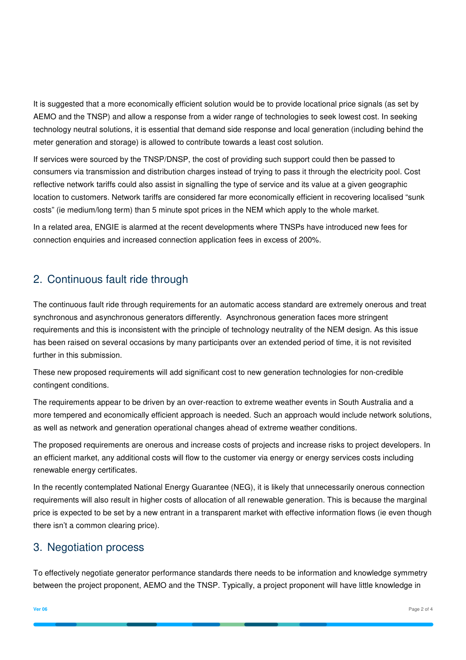It is suggested that a more economically efficient solution would be to provide locational price signals (as set by AEMO and the TNSP) and allow a response from a wider range of technologies to seek lowest cost. In seeking technology neutral solutions, it is essential that demand side response and local generation (including behind the meter generation and storage) is allowed to contribute towards a least cost solution.

If services were sourced by the TNSP/DNSP, the cost of providing such support could then be passed to consumers via transmission and distribution charges instead of trying to pass it through the electricity pool. Cost reflective network tariffs could also assist in signalling the type of service and its value at a given geographic location to customers. Network tariffs are considered far more economically efficient in recovering localised "sunk costs" (ie medium/long term) than 5 minute spot prices in the NEM which apply to the whole market.

In a related area, ENGIE is alarmed at the recent developments where TNSPs have introduced new fees for connection enquiries and increased connection application fees in excess of 200%.

# 2. Continuous fault ride through

The continuous fault ride through requirements for an automatic access standard are extremely onerous and treat synchronous and asynchronous generators differently. Asynchronous generation faces more stringent requirements and this is inconsistent with the principle of technology neutrality of the NEM design. As this issue has been raised on several occasions by many participants over an extended period of time, it is not revisited further in this submission.

These new proposed requirements will add significant cost to new generation technologies for non-credible contingent conditions.

The requirements appear to be driven by an over-reaction to extreme weather events in South Australia and a more tempered and economically efficient approach is needed. Such an approach would include network solutions, as well as network and generation operational changes ahead of extreme weather conditions.

The proposed requirements are onerous and increase costs of projects and increase risks to project developers. In an efficient market, any additional costs will flow to the customer via energy or energy services costs including renewable energy certificates.

In the recently contemplated National Energy Guarantee (NEG), it is likely that unnecessarily onerous connection requirements will also result in higher costs of allocation of all renewable generation. This is because the marginal price is expected to be set by a new entrant in a transparent market with effective information flows (ie even though there isn't a common clearing price).

# 3. Negotiation process

To effectively negotiate generator performance standards there needs to be information and knowledge symmetry between the project proponent, AEMO and the TNSP. Typically, a project proponent will have little knowledge in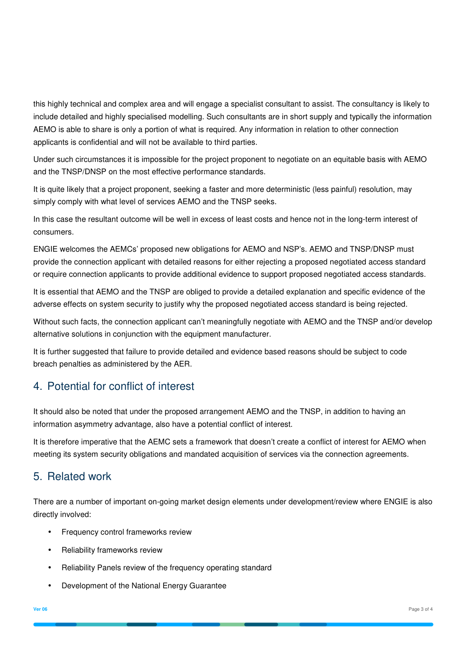this highly technical and complex area and will engage a specialist consultant to assist. The consultancy is likely to include detailed and highly specialised modelling. Such consultants are in short supply and typically the information AEMO is able to share is only a portion of what is required. Any information in relation to other connection applicants is confidential and will not be available to third parties.

Under such circumstances it is impossible for the project proponent to negotiate on an equitable basis with AEMO and the TNSP/DNSP on the most effective performance standards.

It is quite likely that a project proponent, seeking a faster and more deterministic (less painful) resolution, may simply comply with what level of services AEMO and the TNSP seeks.

In this case the resultant outcome will be well in excess of least costs and hence not in the long-term interest of consumers.

ENGIE welcomes the AEMCs' proposed new obligations for AEMO and NSP's. AEMO and TNSP/DNSP must provide the connection applicant with detailed reasons for either rejecting a proposed negotiated access standard or require connection applicants to provide additional evidence to support proposed negotiated access standards.

It is essential that AEMO and the TNSP are obliged to provide a detailed explanation and specific evidence of the adverse effects on system security to justify why the proposed negotiated access standard is being rejected.

Without such facts, the connection applicant can't meaningfully negotiate with AEMO and the TNSP and/or develop alternative solutions in conjunction with the equipment manufacturer.

It is further suggested that failure to provide detailed and evidence based reasons should be subject to code breach penalties as administered by the AER.

## 4. Potential for conflict of interest

It should also be noted that under the proposed arrangement AEMO and the TNSP, in addition to having an information asymmetry advantage, also have a potential conflict of interest.

It is therefore imperative that the AEMC sets a framework that doesn't create a conflict of interest for AEMO when meeting its system security obligations and mandated acquisition of services via the connection agreements.

## 5. Related work

There are a number of important on-going market design elements under development/review where ENGIE is also directly involved:

- Frequency control frameworks review
- Reliability frameworks review
- Reliability Panels review of the frequency operating standard
- Development of the National Energy Guarantee